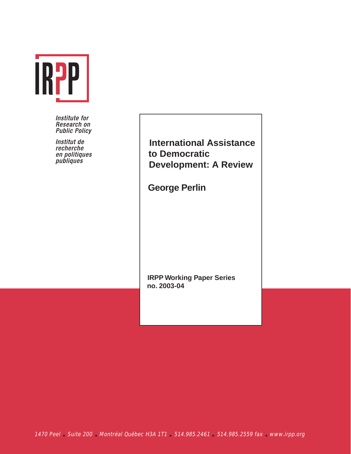

Institute for Research on **Public Policy** 

Institut de recherche en politiques publiques

**International Assistance to Democratic Development: A Review**

**George Perlin**

**IRPP Working Paper Series no. 2003-04**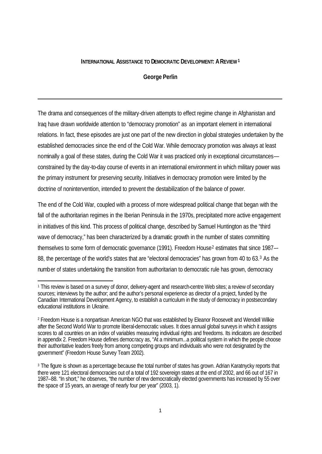### **INTERNATIONAL ASSISTANCE TO DEMOCRATIC DEVELOPMENT: AREVIEW <sup>1</sup>**

### **George Perlin**

The drama and consequences of the military-driven attempts to effect regime change in Afghanistan and Iraq have drawn worldwide attention to "democracy promotion" as an important element in international relations. In fact, these episodes are just one part of the new direction in global strategies undertaken by the established democracies since the end of the Cold War. While democracy promotion was always at least nominally a goal of these states, during the Cold War it was practiced only in exceptional circumstances constrained by the day-to-day course of events in an international environment in which military power was the primary instrument for preserving security. Initiatives in democracy promotion were limited by the doctrine of nonintervention, intended to prevent the destabilization of the balance of power.

The end of the Cold War, coupled with a process of more widespread political change that began with the fall of the authoritarian regimes in the Iberian Peninsula in the 1970s, precipitated more active engagement in initiatives of this kind. This process of political change, described by Samuel Huntington as the "third wave of democracy," has been characterized by a dramatic growth in the number of states committing themselves to some form of democratic governance (1991). Freedom House<sup>2</sup> estimates that since 1987–-88, the percentage of the world's states that are "electoral democracies" has grown from 40 to 63.<sup>3</sup> As the number of states undertaking the transition from authoritarian to democratic rule has grown, democracy

<sup>&</sup>lt;sup>1</sup> This review is based on a survey of donor, delivery-agent and research-centre Web sites; a review of secondary sources; interviews by the author; and the author's personal experience as director of a project, funded by the Canadian International Development Agency, to establish a curriculum in the study of democracy in postsecondary educational institutions in Ukraine.

<sup>2</sup> Freedom House is a nonpartisan American NGO that was established by Eleanor Roosevelt and Wendell Wilkie after the Second World War to promote liberal-democratic values. It does annual global surveys in which it assigns scores to all countries on an index of variables measuring individual rights and freedoms. Its indicators are described in appendix 2. Freedom House defines democracy as, "At a minimum...a political system in which the people choose their authoritative leaders freely from among competing groups and individuals who were not designated by the government" (Freedom House Survey Team 2002).

<sup>&</sup>lt;sup>3</sup> The figure is shown as a percentage because the total number of states has grown. Adrian Karatnycky reports that there were 121 electoral democracies out of a total of 192 sovereign states at the end of 2002, and 66 out of 167 in 1987–88. "In short," he observes, "the number of new democratically elected governments has increased by 55 over the space of 15 years, an average of nearly four per year" (2003, 1).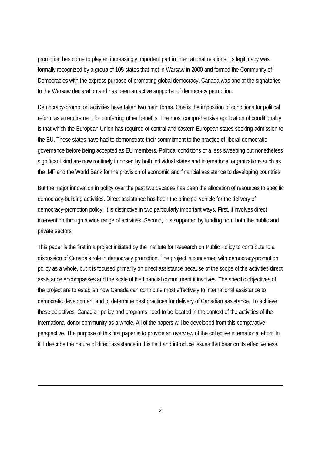promotion has come to play an increasingly important part in international relations. Its legitimacy was formally recognized by a group of 105 states that met in Warsaw in 2000 and formed the Community of Democracies with the express purpose of promoting global democracy. Canada was one of the signatories to the Warsaw declaration and has been an active supporter of democracy promotion.

Democracy-promotion activities have taken two main forms. One is the imposition of conditions for political reform as a requirement for conferring other benefits. The most comprehensive application of conditionality is that which the European Union has required of central and eastern European states seeking admission to the EU. These states have had to demonstrate their commitment to the practice of liberal-democratic governance before being accepted as EU members. Political conditions of a less sweeping but nonetheless significant kind are now routinely imposed by both individual states and international organizations such as the IMF and the World Bank for the provision of economic and financial assistance to developing countries.

But the major innovation in policy over the past two decades has been the allocation of resources to specific democracy-building activities. Direct assistance has been the principal vehicle for the delivery of democracy-promotion policy. It is distinctive in two particularly important ways. First, it involves direct intervention through a wide range of activities. Second, it is supported by funding from both the public and private sectors.

This paper is the first in a project initiated by the Institute for Research on Public Policy to contribute to a discussion of Canada's role in democracy promotion. The project is concerned with democracy-promotion policy as a whole, but it is focused primarily on direct assistance because of the scope of the activities direct assistance encompasses and the scale of the financial commitment it involves. The specific objectives of the project are to establish how Canada can contribute most effectively to international assistance to democratic development and to determine best practices for delivery of Canadian assistance. To achieve these objectives, Canadian policy and programs need to be located in the context of the activities of the international donor community as a whole. All of the papers will be developed from this comparative perspective. The purpose of this first paper is to provide an overview of the collective international effort. In it, I describe the nature of direct assistance in this field and introduce issues that bear on its effectiveness.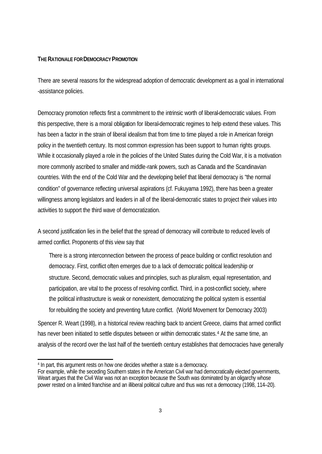### **THE RATIONALE FOR DEMOCRACY PROMOTION**

There are several reasons for the widespread adoption of democratic development as a goal in international -assistance policies.

Democracy promotion reflects first a commitment to the intrinsic worth of liberal-democratic values. From this perspective, there is a moral obligation for liberal-democratic regimes to help extend these values. This has been a factor in the strain of liberal idealism that from time to time played a role in American foreign policy in the twentieth century. Its most common expression has been support to human rights groups. While it occasionally played a role in the policies of the United States during the Cold War, it is a motivation more commonly ascribed to smaller and middle-rank powers, such as Canada and the Scandinavian countries. With the end of the Cold War and the developing belief that liberal democracy is "the normal condition" of governance reflecting universal aspirations (cf. Fukuyama 1992), there has been a greater willingness among legislators and leaders in all of the liberal-democratic states to project their values into activities to support the third wave of democratization.

A second justification lies in the belief that the spread of democracy will contribute to reduced levels of armed conflict. Proponents of this view say that

There is a strong interconnection between the process of peace building or conflict resolution and democracy. First, conflict often emerges due to a lack of democratic political leadership or structure. Second, democratic values and principles, such as pluralism, equal representation, and participation, are vital to the process of resolving conflict. Third, in a post-conflict society, where the political infrastructure is weak or nonexistent, democratizing the political system is essential for rebuilding the society and preventing future conflict. (World Movement for Democracy 2003)

Spencer R. Weart (1998), in a historical review reaching back to ancient Greece, claims that armed conflict has never been initiated to settle disputes between or within democratic states.<sup>4</sup> At the same time, an analysis of the record over the last half of the twentieth century establishes that democracies have generally

 4 In part, this argument rests on how one decides whether a state is a democracy.

For example, while the seceding Southern states in the American Civil war had democratically elected governments, Weart argues that the Civil War was not an exception because the South was dominated by an oligarchy whose power rested on a limited franchise and an illiberal political culture and thus was not a democracy (1998, 114–20).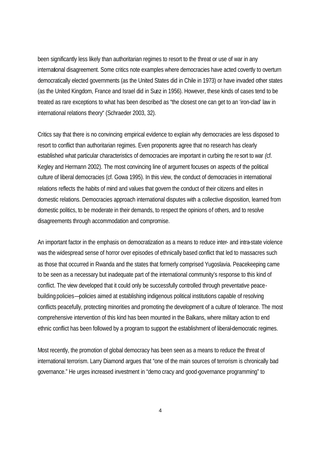been significantly less likely than authoritarian regimes to resort to the threat or use of war in any international disagreement. Some critics note examples where democracies have acted covertly to overturn democratically elected governments (as the United States did in Chile in 1973) or have invaded other states (as the United Kingdom, France and Israel did in Suez in 1956). However, these kinds of cases tend to be treated as rare exceptions to what has been described as "the closest one can get to an 'iron-clad' law in international relations theory" (Schraeder 2003, 32).

Critics say that there is no convincing empirical evidence to explain why democracies are less disposed to resort to conflict than authoritarian regimes. Even proponents agree that no research has clearly established what particular characteristics of democracies are important in curbing the resort to war *(*cf. Kegley and Hermann 2002). The most convincing line of argument focuses on aspects of the political culture of liberal democracies (cf. Gowa 1995). In this view, the conduct of democracies in international relations reflects the habits of mind and values that govern the conduct of their citizens and elites in domestic relations. Democracies approach international disputes with a collective disposition, learned from domestic politics, to be moderate in their demands, to respect the opinions of others, and to resolve disagreements through accommodation and compromise.

An important factor in the emphasis on democratization as a means to reduce inter- and intra-state violence was the widespread sense of horror over episodes of ethnically based conflict that led to massacres such as those that occurred in Rwanda and the states that formerly comprised Yugoslavia. Peacekeeping came to be seen as a necessary but inadequate part of the international community's response to this kind of conflict. The view developed that it could only be successfully controlled through preventative peacebuilding policies—policies aimed at establishing indigenous political institutions capable of resolving conflicts peacefully, protecting minorities and promoting the development of a culture of tolerance. The most comprehensive intervention of this kind has been mounted in the Balkans, where military action to end ethnic conflict has been followed by a program to support the establishment of liberal-democratic regimes.

Most recently, the promotion of global democracy has been seen as a means to reduce the threat of international terrorism. Larry Diamond argues that "one of the main sources of terrorism is chronically bad governance." He urges increased investment in "demo cracy and good-governance programming" to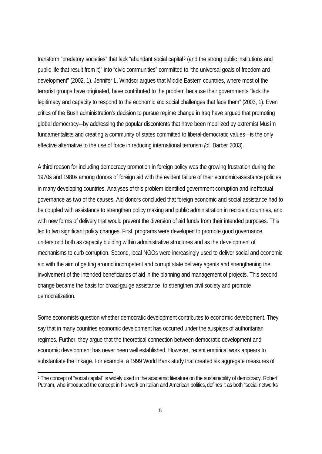transform "predatory societies" that lack "abundant social capital<sup>5</sup> (and the strong public institutions and public life that result from it)" into "civic communities" committed to "the universal goals of freedom and development" (2002, 1). Jennifer L. Windsor argues that Middle Eastern countries, where most of the terrorist groups have originated, have contributed to the problem because their governments "lack the legitimacy and capacity to respond to the economic and social challenges that face them" (2003, 1). Even critics of the Bush administration's decision to pursue regime change in Iraq have argued that promoting global democracy—by addressing the popular discontents that have been mobilized by extremist Muslim fundamentalists and creating a community of states committed to liberal-democratic values—is the only effective alternative to the use of force in reducing international terrorism *(*cf*.* Barber 2003).

A third reason for including democracy promotion in foreign policy was the growing frustration during the 1970s and 1980s among donors of foreign aid with the evident failure of their economic-assistance policies in many developing countries. Analyses of this problem identified government corruption and ineffectual governance as two of the causes. Aid donors concluded that foreign economic and social assistance had to be coupled with assistance to strengthen policy making and public administration in recipient countries, and with new forms of delivery that would prevent the diversion of aid funds from their intended purposes. This led to two significant policy changes. First, programs were developed to promote good governance, understood both as capacity building within administrative structures and as the development of mechanisms to curb corruption. Second, local NGOs were increasingly used to deliver social and economic aid with the aim of getting around incompetent and corrupt state delivery agents and strengthening the involvement of the intended beneficiaries of aid in the planning and management of projects. This second change became the basis for broad-gauge assistance to strengthen civil society and promote democratization.

Some economists question whether democratic development contributes to economic development. They say that in many countries economic development has occurred under the auspices of authoritarian regimes. Further, they argue that the theoretical connection between democratic development and economic development has never been well established. However, recent empirical work appears to substantiate the linkage. For example, a 1999 World Bank study that created six aggregate measures of

<sup>&</sup>lt;sup>5</sup> The concept of "social capital" is widely used in the academic literature on the sustainability of democracy. Robert Putnam, who introduced the concept in his work on Italian and American politics, defines it as both "social networks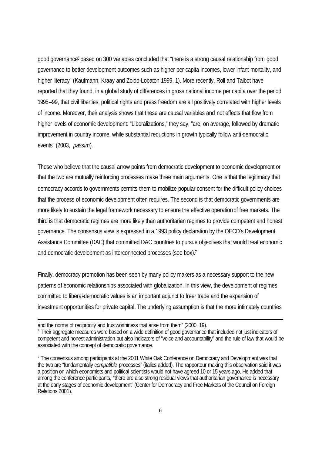good governance<sup>6</sup> based on 300 variables concluded that "there is a strong causal relationship from good governance to better development outcomes such as higher per capita incomes, lower infant mortality, and higher literacy" (Kaufmann, Kraay and Zoido-Lobaton 1999, 1). More recently, Roll and Talbot have reported that they found, in a global study of differences in gross national income per capita over the period 1995–99, that civil liberties, political rights and press freedom are all positively correlated with higher levels of income. Moreover, their analysis shows that these are causal variables and not effects that flow from higher levels of economic development: "Liberalizations," they say, "are, on average, followed by dramatic improvement in country income, while substantial reductions in growth typically follow anti-democratic events" (2003, *passim*).

Those who believe that the causal arrow points from democratic development to economic development or that the two are mutually reinforcing processes make three main arguments. One is that the legitimacy that democracy accords to governments permits them to mobilize popular consent for the difficult policy choices that the process of economic development often requires. The second is that democratic governments are more likely to sustain the legal framework necessary to ensure the effective operation of free markets. The third is that democratic regimes are more likely than authoritarian regimes to provide competent and honest governance. The consensus view is expressed in a 1993 policy declaration by the OECD's Development Assistance Committee (DAC) that committed DAC countries to pursue objectives that would treat economic and democratic development as interconnected processes (see box).<sup>7</sup>

Finally, democracy promotion has been seen by many policy makers as a necessary support to the new patterns of economic relationships associated with globalization. In this view, the development of regimes committed to liberal-democratic values is an important adjunct to freer trade and the expansion of investment opportunities for private capital. The underlying assumption is that the more intimately countries

and the norms of reciprocity and trustworthiness that arise from them" (2000, 19). 6 Their aggregate measures were based on a wide definition of good governance that included not just indicators of competent and honest administration but also indicators of "voice and accountability" and the rule of law that would be associated with the concept of democratic governance.

<sup>&</sup>lt;sup>7</sup> The consensus among participants at the 2001 White Oak Conference on Democracy and Development was that the two are "fundamentally *compatible* processes" (italics added). The rapporteur making this observation said it was a position on which economists and political scientists would not have agreed 10 or 15 years ago. He added that among the conference participants, "there are also strong residual views that authoritarian governance is necessary at the early stages of economic development" (Center for Democracy and Free Markets of the Council on Foreign Relations 2001).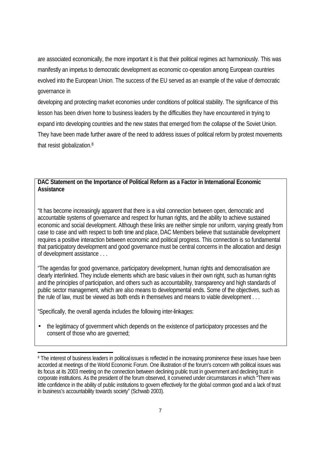are associated economically, the more important it is that their political regimes act harmoniously. This was manifestly an impetus to democratic development as economic co-operation among European countries evolved into the European Union. The success of the EU served as an example of the value of democratic governance in

developing and protecting market economies under conditions of political stability. The significance of this lesson has been driven home to business leaders by the difficulties they have encountered in trying to expand into developing countries and the new states that emerged from the collapse of the Soviet Union. They have been made further aware of the need to address issues of political reform by protest movements that resist globalization.<sup>8</sup>

# **DAC Statement on the Importance of Political Reform as a Factor in International Economic Assistance**

"It has become increasingly apparent that there is a vital connection between open, democratic and accountable systems of governance and respect for human rights, and the ability to achieve sustained economic and social development. Although these links are neither simple nor uniform, varying greatly from case to case and with respect to both time and place, DAC Members believe that sustainable development requires a positive interaction between economic and political progress. This connection is so fundamental that participatory development and good governance must be central concerns in the allocation and design of development assistance . . .

"The agendas for good governance, participatory development, human rights and democratisation are clearly interlinked. They include elements which are basic values in their own right, such as human rights and the principles of participation, and others such as accountability, transparency and high standards of public sector management, which are also means to developmental ends. Some of the objectives, such as the rule of law, must be viewed as both ends in themselves and means to viable development . . .

"Specifically, the overall agenda includes the following inter-linkages:

• the legitimacy of government which depends on the existence of participatory processes and the consent of those who are governed;

l <sup>8</sup> The interest of business leaders in political issues is reflected in the increasing prominence these issues have been accorded at meetings of the World Economic Forum. One illustration of the forum's concern with political issues was its focus at its 2003 meeting on the connection between declining public trust in government and declining trust in corporate institutions. As the president of the forum observed, it convened under circumstances in which "There was little confidence in the ability of public institutions to govern effectively for the global common good and a lack of trust in business's accountability towards society" (Schwab 2003).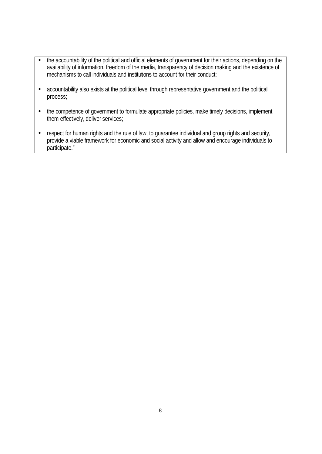- the accountability of the political and official elements of government for their actions, depending on the availability of information, freedom of the media, transparency of decision making and the existence of mechanisms to call individuals and institutions to account for their conduct;
- accountability also exists at the political level through representative government and the political process;
- the competence of government to formulate appropriate policies, make timely decisions, implement them effectively, deliver services;
- respect for human rights and the rule of law, to guarantee individual and group rights and security, provide a viable framework for economic and social activity and allow and encourage individuals to participate."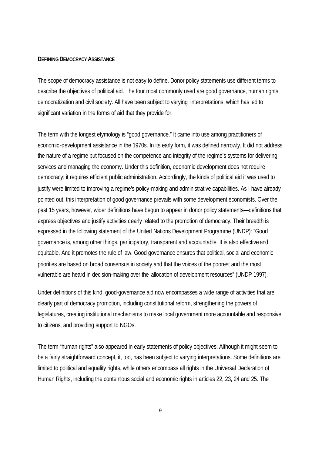#### **DEFINING DEMOCRACY ASSISTANCE**

The scope of democracy assistance is not easy to define. Donor policy statements use different terms to describe the objectives of political aid. The four most commonly used are good governance, human rights, democratization and civil society. All have been subject to varying interpretations, which has led to significant variation in the forms of aid that they provide for.

The term with the longest etymology is "good governance." It came into use among practitioners of economic-development assistance in the 1970s. In its early form, it was defined narrowly. It did not address the nature of a regime but focused on the competence and integrity of the regime's systems for delivering services and managing the economy. Under this definition, economic development does not require democracy; it requires efficient public administration. Accordingly, the kinds of political aid it was used to justify were limited to improving a regime's policy-making and administrative capabilities. As I have already pointed out, this interpretation of good governance prevails with some development economists. Over the past 15 years, however, wider definitions have begun to appear in donor policy statements—definitions that express objectives and justify activities charly related to the promotion of democracy. Their breadth is expressed in the following statement of the United Nations Development Programme (UNDP): "Good governance is, among other things, participatory, transparent and accountable. It is also effective and equitable. And it promotes the rule of law. Good governance ensures that political, social and economic priorities are based on broad consensus in society and that the voices of the poorest and the most vulnerable are heard in decision-making over the allocation of development resources" (UNDP 1997).

Under definitions of this kind, good-governance aid now encompasses a wide range of activities that are clearly part of democracy promotion, including constitutional reform, strengthening the powers of legislatures, creating institutional mechanisms to make local government more accountable and responsive to citizens, and providing support to NGOs.

The term "human rights" also appeared in early statements of policy objectives. Although it might seem to be a fairly straightforward concept, it, too, has been subject to varying interpretations. Some definitions are limited to political and equality rights, while others encompass all rights in the Universal Declaration of Human Rights, including the contentious social and economic rights in articles 22, 23, 24 and 25. The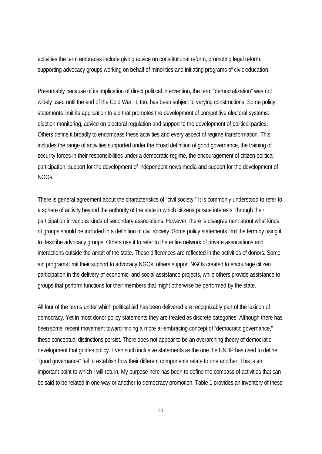activities the term embraces include giving advice on constitutional reform, promoting legal reform, supporting advocacy groups working on behalf of minorities and initiating programs of civic education.

Presumably because of its implication of direct political intervention, the term "democratization" was not widely used until the end of the Cold War. It, too, has been subject to varying constructions. Some policy statements limit its application to aid that promotes the development of competitive electoral systems: election monitoring, advice on electoral regulation and support to the development of political parties. Others define it broadly to encompass these activities and every aspect of regime transformation. This includes the range of activities supported under the broad definition of good governance, the training of security forces in their responsibilities under a democratic regime, the encouragement of citizen political participation, support for the development of independent news media and support for the development of NGOs.

There is general agreement about the characteristics of "civil society." It is commonly understood to refer to a sphere of activity beyond the authority of the state in which citizens pursue interests through their participation in various kinds of secondary associations. However, there is disagreement about what kinds of groups should be included in a definition of civil society. Some policy statements limit the term by using it to describe advocacy groups. Others use it to refer to the entire network of private associations and interactions outside the ambit of the state. These differences are reflected in the activities of donors. Some aid programs limit their support to advocacy NGOs, others support NGOs created to encourage citizen participation in the delivery of economic- and social-assistance projects, while others provide assistance to groups that perform functions for their members that might otherwise be performed by the state.

All four of the terms under which political aid has been delivered are recognizably part of the lexicon of democracy. Yet in most donor policy statements they are treated as discrete categories. Although there has been some recent movement toward finding a more all-embracing concept of "democratic governance," these conceptual distinctions persist. There does not appear to be an overarching theory of democratic development that guides policy. Even such inclusive statements as the one the UNDP has used to define "good governance" fail to establish how their different components relate to one another. This is an important point to which I will return. My purpose here has been to define the compass of activities that can be said to be related in one way or another to democracy promotion. Table 1 provides an inventory of these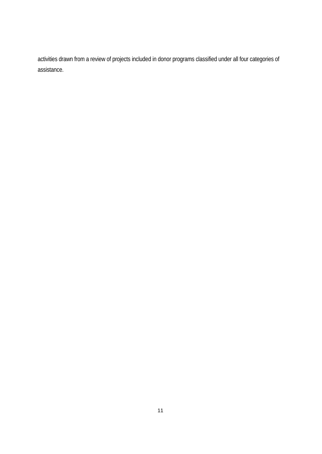activities drawn from a review of projects included in donor programs classified under all four categories of assistance.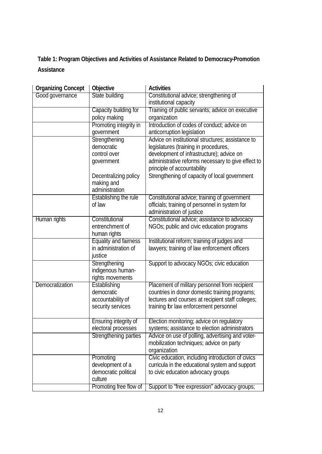# **Table 1: Program Objectives and Activities of Assistance Related to Democracy-Promotion Assistance**

| <b>Organizing Concept</b> | Objective                    | <b>Activities</b>                                  |
|---------------------------|------------------------------|----------------------------------------------------|
| Good governance           | State building               | Constitutional advice; strengthening of            |
|                           |                              | institutional capacity                             |
|                           | Capacity building for        | Training of public servants; advice on executive   |
|                           | policy making                | organization                                       |
|                           | Promoting integrity in       | Introduction of codes of conduct; advice on        |
|                           | government                   | anticorruption legislation                         |
|                           | Strengthening                | Advice on institutional structures; assistance to  |
|                           | democratic                   | legislatures (training in procedures,              |
|                           | control over                 | development of infrastructure); advice on          |
|                           | government                   | administrative reforms necessary to give effect to |
|                           |                              | principle of accountability                        |
|                           | Decentralizing policy        | Strengthening of capacity of local government      |
|                           | making and                   |                                                    |
|                           | administration               |                                                    |
|                           | Establishing the rule        | Constitutional advice; training of government      |
|                           | of law                       | officials; training of personnel in system for     |
|                           |                              | administration of justice                          |
| Human rights              | Constitutional               | Constitutional advice; assistance to advocacy      |
|                           | entrenchment of              | NGOs; public and civic education programs          |
|                           | human rights                 |                                                    |
|                           | <b>Equality and fairness</b> | Institutional reform; training of judges and       |
|                           | in administration of         | lawyers; training of law enforcement officers      |
|                           | justice                      |                                                    |
|                           | Strengthening                | Support to advocacy NGOs; civic education          |
|                           | indigenous human-            |                                                    |
|                           | rights movements             |                                                    |
| Democratization           | Establishing                 | Placement of military personnel from recipient     |
|                           | democratic                   | countries in donor domestic training programs;     |
|                           | accountability of            | lectures and courses at recipient staff colleges;  |
|                           | security services            | training for law enforcement personnel             |
|                           |                              |                                                    |
|                           | Ensuring integrity of        | Election monitoring; advice on regulatory          |
|                           | electoral processes          | systems; assistance to election administrators     |
|                           | Strengthening parties        | Advice on use of polling, advertising and voter-   |
|                           |                              | mobilization techniques; advice on party           |
|                           |                              | organization                                       |
|                           | Promoting                    | Civic education, including introduction of civics  |
|                           | development of a             | curricula in the educational system and support    |
|                           | democratic political         | to civic education advocacy groups                 |
|                           | culture                      |                                                    |
|                           | Promoting free flow of       | Support to "free expression" advocacy groups;      |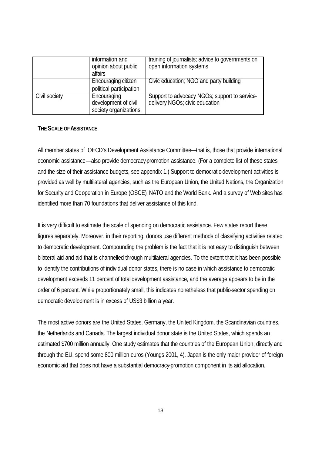|               | information and<br>opinion about public<br>affairs            | training of journalists; advice to governments on<br>open information systems   |
|---------------|---------------------------------------------------------------|---------------------------------------------------------------------------------|
|               | Encouraging citizen<br>political participation                | Civic education; NGO and party building                                         |
| Civil society | Encouraging<br>development of civil<br>society organizations. | Support to advocacy NGOs; support to service-<br>delivery NGOs; civic education |

# **THE SCALE OF ASSISTANCE**

All member states of OECD's Development Assistance Committee—that is, those that provide international economic assistance—also provide democracy-promotion assistance. (For a complete list of these states and the size of their assistance budgets, see appendix 1.) Support to democratic-development activities is provided as well by multilateral agencies, such as the European Union, the United Nations, the Organization for Security and Cooperation in Europe (OSCE), NATO and the World Bank. And a survey of Web sites has identified more than 70 foundations that deliver assistance of this kind.

It is very difficult to estimate the scale of spending on democratic assistance. Few states report these figures separately. Moreover, in their reporting, donors use different methods of classifying activities related to democratic development. Compounding the problem is the fact that it is not easy to distinguish between bilateral aid and aid that is channelled through multilateral agencies. To the extent that it has been possible to identify the contributions of individual donor states, there is no case in which assistance to democratic development exceeds 11 percent of total development assistance, and the average appears to be in the order of 6 percent. While proportionately small, this indicates nonetheless that public-sector spending on democratic development is in excess of US\$3 billion a year.

The most active donors are the United States, Germany, the United Kingdom, the Scandinavian countries, the Netherlands and Canada. The largest individual donor state is the United States, which spends an estimated \$700 million annually. One study estimates that the countries of the European Union, directly and through the EU, spend some 800 million euros (Youngs 2001, 4). Japan is the only major provider of foreign economic aid that does not have a substantial democracy-promotion component in its aid allocation.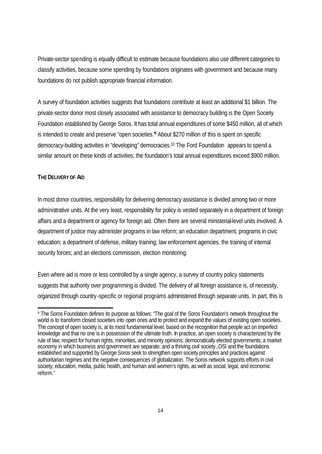Private-sector spending is equally difficult to estimate because foundations also use different categories to classify activities, because some spending by foundations originates with government and because many foundations do not publish appropriate financial information.

A survey of foundation activities suggests that foundations contribute at least an additional \$1 billion. The private-sector donor most closely associated with assistance to democracy building is the Open Society Foundation established by George Soros. It has total annual expenditures of some \$450 million, all of which is intended to create and preserve "open societies.<sup>®</sup> About \$270 million of this is spent on specific democracy-building activities in "developing" democracies.<sup>10</sup> The Ford Foundation appears to spend a similar amount on these kinds of activities; the foundation's total annual expenditures exceed \$900 million.

# **THE DELIVERY OF AID**

In most donor countries, responsibility for delivering democracy assistance is divided among two or more administrative units. At the very least, responsibility for policy is vested separately in a department of foreign affairs and a department or agency for foreign aid. Often there are several ministerial-level units involved. A department of justice may administer programs in law reform; an education department, programs in civic education; a department of defense, military training; law enforcement agencies, the training of internal security forces; and an elections commission, election monitoring.

Even where aid is more or less controlled by a single agency, a survey of country policy statements suggests that authority over programming is divided. The delivery of all foreign assistance is, of necessity, organized through country -specific or regional programs administered through separate units. In part, this is

l <sup>9</sup> The Soros Foundation defines its purpose as follows: "The goal of the Soros Foundation's network throughout the world is to transform closed societies into open ones and to protect and expand the values of existing open societies. The concept of open society is, at its most fundamental level, based on the recognition that people act on imperfect knowledge and that no one is in possession of the ultimate truth. In practice, an open society is characterized by the rule of law; respect for human rights, minorities, and minority opinions; democratically elected governments; a market economy in which business and government are separate; and a thriving civil society...OSI and the foundations established and supported by George Soros seek to strengthen open society principles and practices against authoritarian regimes and the negative consequences of globalization. The Soros network supports efforts in civil society, education, media, public health, and human and women's rights, as well as social, legal, and economic reform."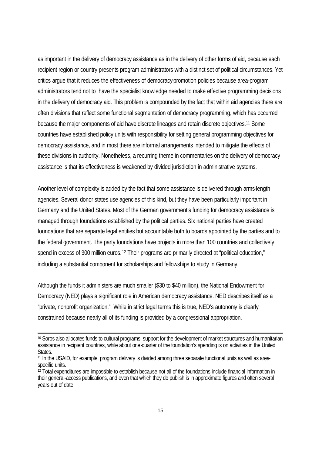as important in the delivery of democracy assistance as in the delivery of other forms of aid, because each recipient region or country presents program administrators with a distinct set of political circumstances. Yet critics argue that it reduces the effectiveness of democracy-promotion policies because area-program administrators tend not to have the specialist knowledge needed to make effective programming decisions in the delivery of democracy aid. This problem is compounded by the fact that within aid agencies there are often divisions that reflect some functional segmentation of democracy programming, which has occurred because the major components of aid have discrete lineages and retain discrete objectives.<sup>11</sup> Some countries have established policy units with responsibility for setting general programming objectives for democracy assistance, and in most there are informal arrangements intended to mitigate the effects of these divisions in authority. Nonetheless, a recurring theme in commentaries on the delivery of democracy assistance is that its effectiveness is weakened by divided jurisdiction in administrative systems.

Another level of complexity is added by the fact that some assistance is delivered through arms-length agencies. Several donor states use agencies of this kind, but they have been particularly important in Germany and the United States. Most of the German government's funding for democracy assistance is managed through foundations established by the political parties. Six national parties have created foundations that are separate legal entities but accountable both to boards appointed by the parties and to the federal government. The party foundations have projects in more than 100 countries and collectively spend in excess of 300 million euros.<sup>12</sup> Their programs are primarily directed at "political education," including a substantial component for scholarships and fellowships to study in Germany.

Although the funds it administers are much smaller (\$30 to \$40 million), the National Endowment for Democracy (NED) plays a significant role in American democracy assistance. NED describes itself as a "private, nonprofit organization." While in strict legal terms this is true, NED's autonomy is clearly constrained because nearly all of its funding is provided by a congressional appropriation.

<sup>10</sup> Soros also allocates funds to cultural programs, support for the development of market structures and humanitarian assistance in recipient countries, while about one-quarter of the foundation's spending is on activities in the United States.

<sup>11</sup> In the USAID, for example, program delivery is divided among three separate functional units as well as areaspecific units.

 $12$  Total expenditures are impossible to establish because not all of the foundations include financial information in their general-access publications, and even that which they do publish is in approximate figures and often several years out of date.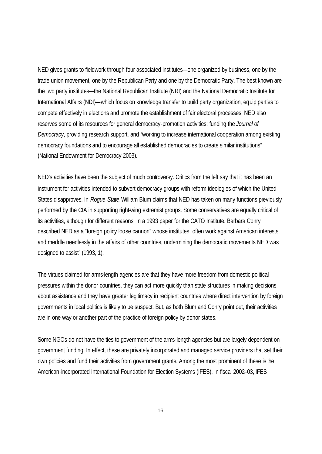NED gives grants to fieldwork through four associated institutes—one organized by business, one by the trade union movement, one by the Republican Party and one by the Democratic Party. The best known are the two party institutes—the National Republican Institute (NRI) and the National Democratic Institute for International Affairs (NDI)—which focus on knowledge transfer to build party organization, equip parties to compete effectively in elections and promote the establishment of fair electoral processes. NED also reserves some of its resources for general democracy-promotion activities: funding the *Journal of Democracy*, providing research support, and "working to increase international cooperation among existing democracy foundations and to encourage all established democracies to create similar institutions" (National Endowment for Democracy 2003).

NED's activities have been the subject of much controversy. Critics from the left say that it has been an instrument for activities intended to subvert democracy groups with reform ideologies of which the United States disapproves. In *Rogue State*, William Blum claims that NED has taken on many functions previously performed by the CIA in supporting right-wing extremist groups. Some conservatives are equally critical of its activities, although for different reasons. In a 1993 paper for the CATO Institute, Barbara Conry described NED as a "foreign policy loose cannon" whose institutes "often work against American interests and meddle needlessly in the affairs of other countries, undermining the democratic movements NED was designed to assist" (1993, 1).

The virtues claimed for arms-length agencies are that they have more freedom from domestic political pressures within the donor countries, they can act more quickly than state structures in making decisions about assistance and they have greater legitimacy in recipient countries where direct intervention by foreign governments in local politics is likely to be suspect. But, as both Blum and Conry point out, their activities are in one way or another part of the practice of foreign policy by donor states.

Some NGOs do not have the ties to government of the arms-length agencies but are largely dependent on government funding. In effect, these are privately incorporated and managed service providers that set their own policies and fund their activities from government grants. Among the most prominent of these is the American-incorporated International Foundation for Election Systems (IFES). In fiscal 2002–03, IFES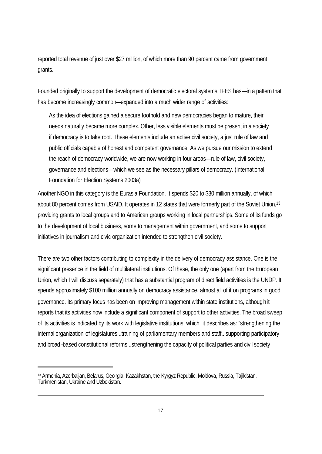reported total revenue of just over \$27 million, of which more than 90 percent came from government grants.

Founded originally to support the development of democratic electoral systems, IFES has—in a pattern that has become increasingly common—expanded into a much wider range of activities:

As the idea of elections gained a secure foothold and new democracies began to mature, their needs naturally became more complex. Other, less visible elements must be present in a society if democracy is to take root. These elements include an active civil society, a just rule of law and public officials capable of honest and competent governance. As we pursue our mission to extend the reach of democracy worldwide, we are now working in four areas—rule of law, civil society, governance and elections—which we see as the necessary pillars of democracy. (International Foundation for Election Systems 2003a)

Another NGO in this category is the Eurasia Foundation. It spends \$20 to \$30 million annually, of which about 80 percent comes from USAID. It operates in 12 states that were formerly part of the Soviet Union,<sup>13</sup> providing grants to local groups and to American groups working in local partnerships. Some of its funds go to the development of local business, some to management within government, and some to support initiatives in journalism and civic organization intended to strengthen civil society.

There are two other factors contributing to complexity in the delivery of democracy assistance. One is the significant presence in the field of multilateral institutions. Of these, the only one (apart from the European Union, which I will discuss separately) that has a substantial program of direct field activities is the UNDP. It spends approximately \$100 million annually on democracy assistance, almost all of it on programs in good governance. Its primary focus has been on improving management within state institutions, although it reports that its activities now include a significant component of support to other activities. The broad sweep of its activities is indicated by its work with legislative institutions, which it describes as: "strengthening the internal organization of legislatures...training of parliamentary members and staff...supporting participatory and broad -based constitutional reforms...strengthening the capacity of political parties and civil society

<sup>13</sup> Armenia, Azerbaijan, Belarus, Georgia, Kazakhstan, the Kyrgyz Republic, Moldova, Russia, Tajikistan, Turkmenistan, Ukraine and Uzbekistan.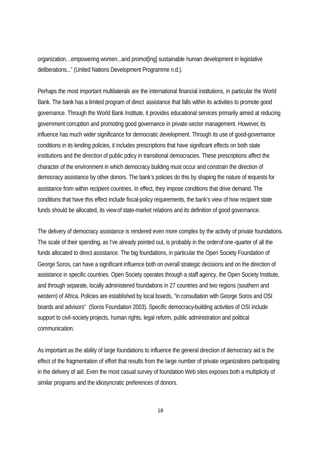organization…empowering women...and promot[ing] sustainable human development in legislative deliberations..." (United Nations Development Programme n.d.).

Perhaps the most important multilaterals are the international financial institutions, in particular the World Bank. The bank has a limited program of direct assistance that falls within its activities to promote good governance. Through the World Bank Institute, it provides educational services primarily aimed at reducing government corruption and promoting good governance in private-sector management. However, its influence has much wider significance for democratic development. Through its use of good-governance conditions in its lending policies, it includes prescriptions that have significant effects on both state institutions and the direction of public policy in transitional democracies. These prescriptions affect the character of the environment in which democracy building must occur and constrain the direction of democracy assistance by other donors. The bank's policies do this by shaping the nature of requests for assistance from within recipient countries. In effect, they impose conditions that drive demand. The conditions that have this effect include fiscal-policy requirements, the bank's view of how recipient state funds should be allocated, its view of state-market relations and its definition of good governance.

The delivery of democracy assistance is rendered even more complex by the activity of private foundations. The scale of their spending, as I've already pointed out, is probably in the order of one-quarter of all the funds allocated to direct assistance. The big foundations, in particular the Open Society Foundation of George Soros, can have a significant influence both on overall strategic decisions and on the direction of assistance in specific countries. Open Society operates through a staff agency, the Open Society Institute, and through separate, locally administered foundations in 27 countries and two regions (southern and western) of Africa. Policies are established by local boards, "in consultation with George Soros and OSI boards and advisors" (Soros Foundation 2003). Specific democracy-building activities of OSI include support to civil-society projects, human rights, legal reform, public administration and political communication.

As important as the ability of large foundations to influence the general direction of democracy aid is the effect of the fragmentation of effort that results from the large number of private organizations participating in the delivery of aid. Even the most casual survey of foundation Web sites exposes both a multiplicity of similar programs and the idiosyncratic preferences of donors.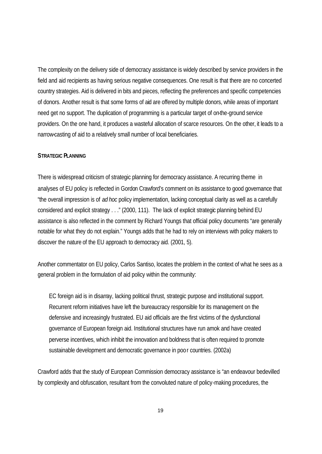The complexity on the delivery side of democracy assistance is widely described by service providers in the field and aid recipients as having serious negative consequences. One result is that there are no concerted country strategies. Aid is delivered in bits and pieces, reflecting the preferences and specific competencies of donors. Another result is that some forms of aid are offered by multiple donors, while areas of important need get no support. The duplication of programming is a particular target of on-the-ground service providers. On the one hand, it produces a wasteful allocation of scarce resources. On the other, it leads to a narrow-casting of aid to a relatively small number of local beneficiaries.

### **STRATEGIC PLANNING**

There is widespread criticism of strategic planning for democracy assistance. A recurring theme in analyses of EU policy is reflected in Gordon Crawford's comment on its assistance to good governance that "the overall impression is of *ad hoc* policy implementation, lacking conceptual clarity as well as a carefully considered and explicit strategy . . ." (2000, 111). The lack of explicit strategic planning behind EU assistance is also reflected in the comment by Richard Youngs that official policy documents "are generally notable for what they do not explain." Youngs adds that he had to rely on interviews with policy makers to discover the nature of the EU approach to democracy aid. (2001, 5).

Another commentator on EU policy, Carlos Santiso, locates the problem in the context of what he sees as a general problem in the formulation of aid policy within the community:

EC foreign aid is in disarray, lacking political thrust, strategic purpose and institutional support. Recurrent reform initiatives have left the bureaucracy responsible for its management on the defensive and increasingly frustrated. EU aid officials are the first victims of the dysfunctional governance of European foreign aid. Institutional structures have run amok and have created perverse incentives, which inhibit the innovation and boldness that is often required to promote sustainable development and democratic governance in poor countries. (2002a)

Crawford adds that the study of European Commission democracy assistance is "an endeavour bedevilled by complexity and obfuscation, resultant from the convoluted nature of policy-making procedures, the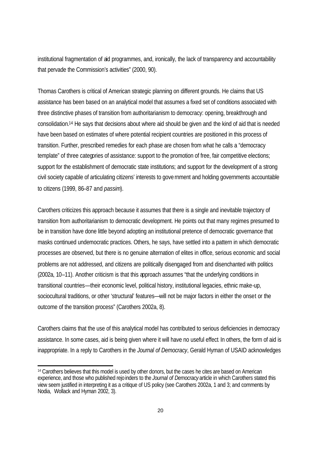institutional fragmentation of ad programmes, and, ironically, the lack of transparency and accountability that pervade the Commission's activities" (2000, 90).

Thomas Carothers is critical of American strategic planning on different grounds. He claims that US assistance has been based on an analytical model that assumes a fixed set of conditions associated with three distinctive phases of transition from authoritarianism to democracy: opening, breakthrough and consolidation.<sup>14</sup> He says that decisions about where aid should be given and the kind of aid that is needed have been based on estimates of where potential recipient countries are positioned in this process of transition. Further, prescribed remedies for each phase are chosen from what he calls a "democracy template" of three categories of assistance: support to the promotion of free, fair competitive elections; support for the establishment of democratic state institutions; and support for the development of a strong civil society capable of articulating citizens' interests to government and holding governments accountable to citizens (1999, 86–87 and *passim*).

Carothers criticizes this approach because it assumes that there is a single and inevitable trajectory of transition from authoritarianism to democratic development. He points out that many regimes presumed to be in transition have done little beyond adopting an institutional pretence of democratic governance that masks continued undemocratic practices. Others, he says, have settled into a pattern in which democratic processes are observed, but there is no genuine alternation of elites in office, serious economic and social problems are not addressed, and citizens are politically disengaged from and disenchanted with politics (2002a, 10–11). Another criticism is that this approach assumes "that the underlying conditions in transitional countries—their economic level, political history, institutional legacies, ethnic make-up, sociocultural traditions, or other 'structural' features—will not be major factors in either the onset or the outcome of the transition process" (Carothers 2002a, 8).

Carothers claims that the use of this analytical model has contributed to serious deficiencies in democracy assistance. In some cases, aid is being given where it will have no useful effect. In others, the form of aid is inappropriate. In a reply to Carothers in the *Journal of Democracy*, Gerald Hyman of USAID acknowledges

l <sup>14</sup> Carothers believes that this model is used by other donors, but the cases he cites are based on American experience, and those who published rejoinders to the *Journal of Democracy* article in which Carothers stated this view seem justified in interpreting it as a critique of US policy (see Carothers 2002a, 1 and 3; and comments by Nodia, Wollack and Hyman 2002, 3).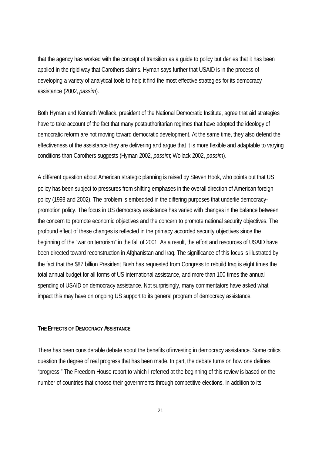that the agency has worked with the concept of transition as a guide to policy but denies that it has been applied in the rigid way that Carothers claims. Hyman says further that USAID is in the process of developing a variety of analytical tools to help it find the most effective strategies for its democracy assistance (2002, *passim*).

Both Hyman and Kenneth Wollack, president of the National Democratic Institute, agree that aid strategies have to take account of the fact that many postauthoritarian regimes that have adopted the ideology of democratic reform are not moving toward democratic development. At the same time, they also defend the effectiveness of the assistance they are delivering and argue that it is more flexible and adaptable to varying conditions than Carothers suggests (Hyman 2002, *passim*; Wollack 2002, *passim*).

A different question about American strategic planning is raised by Steven Hook, who points out that US policy has been subject to pressures from shifting emphases in the overall direction of American foreign policy (1998 and 2002). The problem is embedded in the differing purposes that underlie democracypromotion policy. The focus in US democracy assistance has varied with changes in the balance between the concern to promote economic objectives and the concern to promote national security objectives. The profound effect of these changes is reflected in the primacy accorded security objectives since the beginning of the "war on terrorism" in the fall of 2001. As a result, the effort and resources of USAID have been directed toward reconstruction in Afghanistan and Iraq. The significance of this focus is illustrated by the fact that the \$87 billion President Bush has requested from Congress to rebuild Iraq is eight times the total annual budget for all forms of US international assistance, and more than 100 times the annual spending of USAID on democracy assistance. Not surprisingly, many commentators have asked what impact this may have on ongoing US support to its general program of democracy assistance.

### **THE EFFECTS OF DEMOCRACY ASSISTANCE**

There has been considerable debate about the benefits of investing in democracy assistance. Some critics question the degree of real progress that has been made. In part, the debate turns on how one defines "progress." The Freedom House report to which I referred at the beginning of this review is based on the number of countries that choose their governments through competitive elections. In addition to its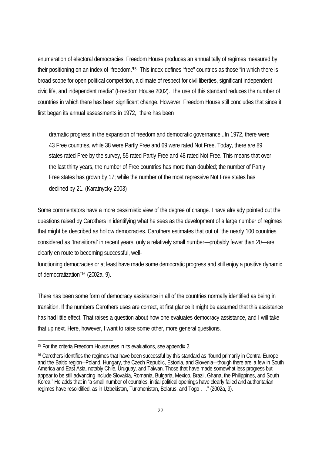enumeration of electoral democracies, Freedom House produces an annual tally of regimes measured by their positioning on an index of "freedom.<sup>45</sup> This index defines "free" countries as those "in which there is broad scope for open political competition, a climate of respect for civil liberties, significant independent civic life, and independent media" (Freedom House 2002). The use of this standard reduces the number of countries in which there has been significant change. However, Freedom House still concludes that since it first began its annual assessments in 1972, there has been

dramatic progress in the expansion of freedom and democratic governance...In 1972, there were 43 Free countries, while 38 were Partly Free and 69 were rated Not Free. Today, there are 89 states rated Free by the survey, 55 rated Partly Free and 48 rated Not Free. This means that over the last thirty years, the number of Free countries has more than doubled; the number of Partly Free states has grown by 17; while the number of the most repressive Not Free states has declined by 21. (Karatnycky 2003)

Some commentators have a more pessimistic view of the degree of change. I have alre ady pointed out the questions raised by Carothers in identifying what he sees as the development of a large number of regimes that might be described as hollow democracies. Carothers estimates that out of "the nearly 100 countries considered as 'transitional' in recent years, only a relatively small number—probably fewer than 20—are clearly en route to becoming successful, well-

functioning democracies or at least have made some democratic progress and still enjoy a positive dynamic of democratization"<sup>16</sup> (2002a, 9).

There has been some form of democracy assistance in all of the countries normally identified as being in transition. If the numbers Carothers uses are correct, at first glance it might be assumed that this assistance has had little effect. That raises a question about how one evaluates democracy assistance, and I will take that up next. Here, however, I want to raise some other, more general questions.

<sup>15</sup> For the criteria Freedom House uses in its evaluations, see appendix 2.

<sup>16</sup> Carothers identifies the regimes that have been successful by this standard as "found primarily in Central Europe and the Baltic region—Poland, Hungary, the Czech Republic, Estonia, and Slovenia—though there are a few in South America and East Asia, notably Chile, Uruguay, and Taiwan. Those that have made somewhat less progress but appear to be still advancing include Slovakia, Romania, Bulgaria, Mexico, Brazil, Ghana, the Philippines, and South Korea." He adds that in "a small number of countries, initial political openings have clearly failed and authoritarian regimes have resolidified, as in Uzbekistan, Turkmenistan, Belarus, and Togo . . ." (2002a, 9).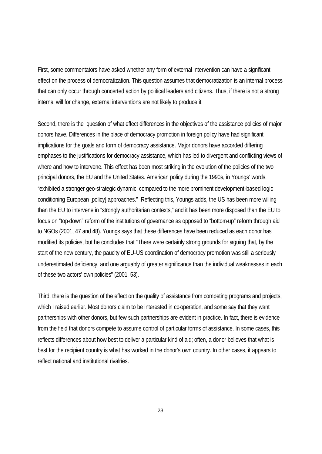First, some commentators have asked whether any form of external intervention can have a significant effect on the process of democratization. This question assumes that democratization is an internal process that can only occur through concerted action by political leaders and citizens. Thus, if there is not a strong internal will for change, external interventions are not likely to produce it.

Second, there is the question of what effect differences in the objectives of the assistance policies of major donors have. Differences in the place of democracy promotion in foreign policy have had significant implications for the goals and form of democracy assistance. Major donors have accorded differing emphases to the justifications for democracy assistance, which has led to divergent and conflicting views of where and how to intervene. This effect has been most striking in the evolution of the policies of the two principal donors, the EU and the United States. American policy during the 1990s, in Youngs' words, "exhibited a stronger geo-strategic dynamic, compared to the more prominent development-based logic conditioning European [policy] approaches." Reflecting this, Youngs adds, the US has been more willing than the EU to intervene in "strongly authoritarian contexts," and it has been more disposed than the EU to focus on "top-down" reform of the institutions of governance as opposed to "bottom-up" reform through aid to NGOs (2001, 47 and 48). Youngs says that these differences have been reduced as each donor has modified its policies, but he concludes that "There were certainly strong grounds for arguing that, by the start of the new century, the paucity of EU–US coordination of democracy promotion was still a seriously underestimated deficiency, and one arguably of greater significance than the individual weaknesses in each of these two actors' own policies" (2001, 53).

Third, there is the question of the effect on the quality of assistance from competing programs and projects, which I raised earlier. Most donors claim to be interested in co-operation, and some say that they want partnerships with other donors, but few such partnerships are evident in practice. In fact, there is evidence from the field that donors compete to assume control of particular forms of assistance. In some cases, this reflects differences about how best to deliver a particular kind of aid; often, a donor believes that what is best for the recipient country is what has worked in the donor's own country. In other cases, it appears to reflect national and institutional rivalries.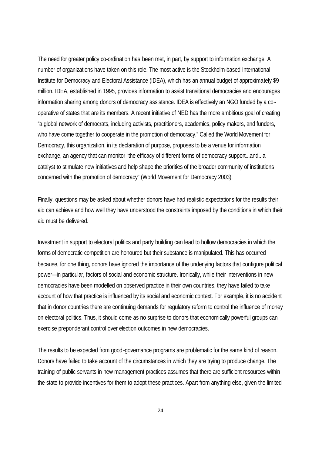The need for greater policy co-ordination has been met, in part, by support to information exchange. A number of organizations have taken on this role. The most active is the Stockholm-based International Institute for Democracy and Electoral Assistance (IDEA), which has an annual budget of approximately \$9 million. IDEA, established in 1995, provides information to assist transitional democracies and encourages information sharing among donors of democracy assistance. IDEA is effectively an NGO funded by a cooperative of states that are its members. A recent initiative of NED has the more ambitious goal of creating "a global network of democrats, including activists, practitioners, academics, policy makers, and funders, who have come together to cooperate in the promotion of democracy." Called the World Movement for Democracy, this organization, in its declaration of purpose, proposes to be a venue for information exchange, an agency that can monitor "the efficacy of different forms of democracy support...and...a catalyst to stimulate new initiatives and help shape the priorities of the broader community of institutions concerned with the promotion of democracy" (World Movement for Democracy 2003).

Finally, questions may be asked about whether donors have had realistic expectations for the results their aid can achieve and how well they have understood the constraints imposed by the conditions in which their aid must be delivered.

Investment in support to electoral politics and party building can lead to hollow democracies in which the forms of democratic competition are honoured but their substance is manipulated. This has occurred because, for one thing, donors have ignored the importance of the underlying factors that configure political power—in particular, factors of social and economic structure. Ironically, while their interventions in new democracies have been modelled on observed practice in their own countries, they have failed to take account of how that practice is influenced by its social and economic context. For example, it is no accident that in donor countries there are continuing demands for regulatory reform to control the influence of money on electoral politics. Thus, it should come as no surprise to donors that economically powerful groups can exercise preponderant control over election outcomes in new democracies.

The results to be expected from good-governance programs are problematic for the same kind of reason. Donors have failed to take account of the circumstances in which they are trying to produce change. The training of public servants in new management practices assumes that there are sufficient resources within the state to provide incentives for them to adopt these practices. Apart from anything else, given the limited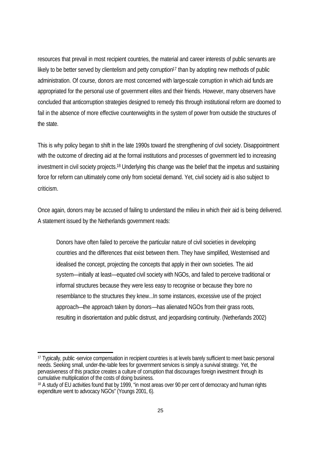resources that prevail in most recipient countries, the material and career interests of public servants are likely to be better served by clientelism and petty corruption<sup>17</sup> than by adopting new methods of public administration. Of course, donors are most concerned with large-scale corruption in which aid funds are appropriated for the personal use of government elites and their friends. However, many observers have concluded that anticorruption strategies designed to remedy this through institutional reform are doomed to fail in the absence of more effective counterweights in the system of power from outside the structures of the state.

This is why policy began to shift in the late 1990s toward the strengthening of civil society. Disappointment with the outcome of directing aid at the formal institutions and processes of government led to increasing investment in civil society projects.<sup>18</sup> Underlying this change was the belief that the impetus and sustaining force for reform can ultimately come only from societal demand. Yet, civil society aid is also subject to criticism.

Once again, donors may be accused of failing to understand the milieu in which their aid is being delivered. A statement issued by the Netherlands government reads:

Donors have often failed to perceive the particular nature of civil societies in developing countries and the differences that exist between them. They have simplified, Westernised and idealised the concept, projecting the concepts that apply in their own societies. The aid system—initially at least—equated civil society with NGOs, and failed to perceive traditional or informal structures because they were less easy to recognise or because they bore no resemblance to the structures they knew...In some instances, excessive use of the project approach—the approach taken by donors—has alienated NGOs from their grass roots, resulting in disorientation and public distrust, and jeopardising continuity. (Netherlands 2002)

l <sup>17</sup> Typically, public -service compensation in recipient countries is at levels barely sufficient to meet basic personal needs. Seeking small, under-the-table fees for government services is simply a survival strategy. Yet, the pervasiveness of this practice creates a culture of corruption that discourages foreign investment through its cumulative multiplication of the costs of doing business.

<sup>&</sup>lt;sup>18</sup> A study of EU activities found that by 1999, "in most areas over 90 per cent of democracy and human rights expenditure went to advocacy NGOs" (Youngs 2001, 6).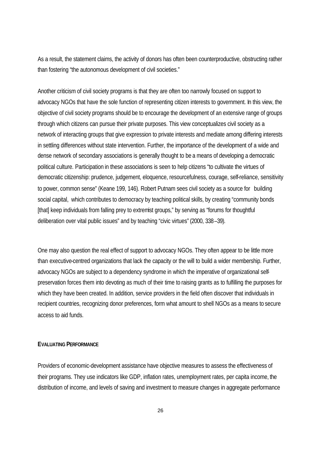As a result, the statement claims, the activity of donors has often been counterproductive, obstructing rather than fostering "the autonomous development of civil societies."

Another criticism of civil society programs is that they are often too narrowly focused on support to advocacy NGOs that have the sole function of representing citizen interests to government. In this view, the objective of civil society programs should be to encourage the development of an extensive range of groups through which citizens can pursue their private purposes. This view conceptualizes civil society as a network of interacting groups that give expression to private interests and mediate among differing interests in settling differences without state intervention. Further, the importance of the development of a wide and dense network of secondary associations is generally thought to be a means of developing a democratic political culture. Participation in these associations is seen to help citizens "to cultivate the virtues of democratic citizenship: prudence, judgement, eloquence, resourcefulness, courage, self-reliance, sensitivity to power, common sense" (Keane 199, 146). Robert Putnam sees civil society as a source for building social capital, which contributes to democracy by teaching political skills, by creating "community bonds [that] keep individuals from falling prey to extremist groups," by serving as "forums for thoughtful deliberation over vital public issues" and by teaching "civic virtues" (2000, 338–39).

One may also question the real effect of support to advocacy NGOs. They often appear to be little more than executive-centred organizations that lack the capacity or the will to build a wider membership. Further, advocacy NGOs are subject to a dependency syndrome in which the imperative of organizational selfpreservation forces them into devoting as much of their time to raising grants as to fulfilling the purposes for which they have been created. In addition, service providers in the field often discover that individuals in recipient countries, recognizing donor preferences, form what amount to shell NGOs as a means to secure access to aid funds.

### **EVALUATING PERFORMANCE**

Providers of economic-development assistance have objective measures to assess the effectiveness of their programs. They use indicators like GDP, inflation rates, unemployment rates, per capita income, the distribution of income, and levels of saving and investment to measure changes in aggregate performance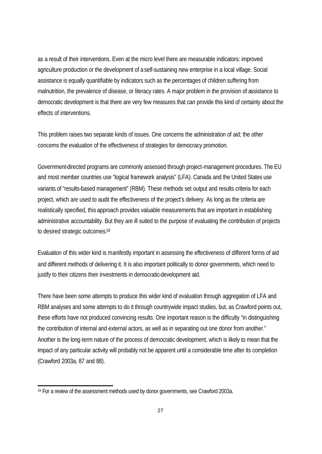as a result of their interventions. Even at the micro level there are measurable indicators: improved agriculture production or the development of a self-sustaining new enterprise in a local village. Social assistance is equally quantifiable by indicators such as the percentages of children suffering from malnutrition, the prevalence of disease, or literacy rates. A major problem in the provision of assistance to democratic development is that there are very few measures that can provide this kind of certainty about the effects of interventions.

This problem raises two separate kinds of issues. One concerns the administration of aid; the other concerns the evaluation of the effectiveness of strategies for democracy promotion.

Government-directed programs are commonly assessed through project-management procedures. The EU and most member countries use "logical framework analysis" (LFA). Canada and the United States use variants of "results-based management" (RBM). These methods set output and results criteria for each project, which are used to audit the effectiveness of the project's delivery. As long as the criteria are realistically specified, this approach provides valuable measurements that are important in establishing administrative accountability. But they are ill suited to the purpose of evaluating the contribution of projects to desired strategic outcomes.<sup>19</sup>

Evaluation of this wider kind is manifestly important in assessing the effectiveness of different forms of aid and different methods of delivering it. It is also important politically to donor governments, which need to justify to their citizens their investments in democratic-development aid.

There have been some attempts to produce this wider kind of evaluation through aggregation of LFA and RBM analyses and some attempts to do it through countrywide impact studies, but, as Crawford points out, these efforts have not produced convincing results. One important reason is the difficulty "in distinguishing the contribution of internal and external actors, as well as in separating out one donor from another." Another is the long-term nature of the process of democratic development, which is likely to mean that the impact of any particular activity will probably not be apparent until a considerable time after its completion (Crawford 2003a, 87 and 88).

<sup>&</sup>lt;sup>19</sup> For a review of the assessment methods used by donor governments, see Crawford 2003a.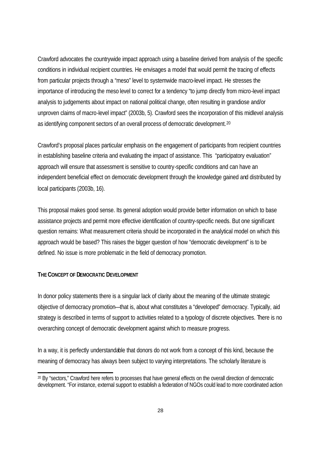Crawford advocates the countrywide impact approach using a baseline derived from analysis of the specific conditions in individual recipient countries. He envisages a model that would permit the tracing of effects from particular projects through a "meso" level to systemwide macro-level impact. He stresses the importance of introducing the meso level to correct for a tendency "to jump directly from micro-level impact analysis to judgements about impact on national political change, often resulting in grandiose and/or unproven claims of macro-level impact" (2003b, 5). Crawford sees the incorporation of this midlevel analysis as identifying component sectors of an overall process of democratic development.<sup>20</sup>

Crawford's proposal places particular emphasis on the engagement of participants from recipient countries in establishing baseline criteria and evaluating the impact of assistance. This "participatory evaluation" approach will ensure that assessment is sensitive to country-specific conditions and can have an independent beneficial effect on democratic development through the knowledge gained and distributed by local participants (2003b, 16).

This proposal makes good sense. Its general adoption would provide better information on which to base assistance projects and permit more effective identification of country-specific needs. But one significant question remains: What measurement criteria should be incorporated in the analytical model on which this approach would be based? This raises the bigger question of how "democratic development" is to be defined. No issue is more problematic in the field of democracy promotion.

# **THE CONCEPT OF DEMOCRATIC DEVELOPMENT**

In donor policy statements there is a singular lack of clarity about the meaning of the ultimate strategic objective of democracy promotion—that is, about what constitutes a "developed" democracy. Typically, aid strategy is described in terms of support to activities related to a typology of discrete objectives. There is no overarching concept of democratic development against which to measure progress.

In a way, it is perfectly understandable that donors do not work from a concept of this kind, because the meaning of democracy has always been subject to varying interpretations. The scholarly literature is

l <sup>20</sup> By "sectors," Crawford here refers to processes that have general effects on the overall direction of democratic development. "For instance, external support to establish a federation of NGOs could lead to more coordinated action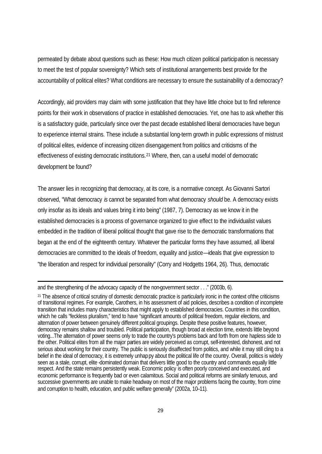permeated by debate about questions such as these: How much citizen political participation is necessary to meet the test of popular sovereignty? Which sets of institutional arrangements best provide for the accountability of political elites? What conditions are necessary to ensure the sustainability of a democracy?

Accordingly, aid providers may claim with some justification that they have little choice but to find reference points for their work in observations of practice in established democracies. Yet, one has to ask whether this is a satisfactory guide, particularly since over the past decade established liberal democracies have begun to experience internal strains. These include a substantial long-term growth in public expressions of mistrust of political elites, evidence of increasing citizen disengagement from politics and criticisms of the effectiveness of existing democratic institutions.<sup>21</sup> Where, then, can a useful model of democratic development be found?

The answer lies in recognizing that democracy, at its core, is a normative concept. As Giovanni Sartori observed, "What democracy *is* cannot be separated from what democracy *should* be. A democracy exists only insofar as its ideals and values bring it into being" (1987, 7). Democracy as we know it in the established democracies is a process of governance organized to give effect to the individualist values embedded in the tradition of liberal political thought that gave rise to the democratic transformations that began at the end of the eighteenth century. Whatever the particular forms they have assumed, all liberal democracies are committed to the ideals of freedom, equality and justice—ideals that give expression to "the liberation and respect for individual personality" (Corry and Hodgetts 1964, 26). Thus, democratic

and the strengthening of the advocacy capacity of the non-government sector . . ." (2003b, 6).

<sup>&</sup>lt;sup>21</sup> The absence of critical scrutiny of domestic democratic practice is particularly ironic in the context of the criticisms of transitional regimes. For example, Carothers, in his assessment of aid policies, describes a condition of incomplete transition that includes many characteristics that might apply to established democracies. Countries in this condition, which he calls "feckless pluralism," tend to have "significant amounts of political freedom, regular elections, and alternation of power between genuinely different political groupings. Despite these positive features, however, democracy remains shallow and troubled. Political participation, though broad at election time, extends little beyond voting...The alternation of power seems only to trade the country's problems back and forth from one hapless side to the other. Political elites from all the major parties are widely perceived as corrupt, self-interested, dishonest, and not serious about working for their country. The public is seriously disaffected from politics, and while it may still cling to a belief in the ideal of democracy, it is extremely unhappy about the political life of the country. Overall, politics is widely seen as a stale, corrupt, elite -dominated domain that delivers little good to the country and commands equally little respect. And the state remains persistently weak. Economic policy is often poorly conceived and executed, and economic performance is frequently bad or even calamitous. Social and political reforms are similarly tenuous, and successive governments are unable to make headway on most of the major problems facing the country, from crime and corruption to health, education, and public welfare generally" (2002a, 10–11).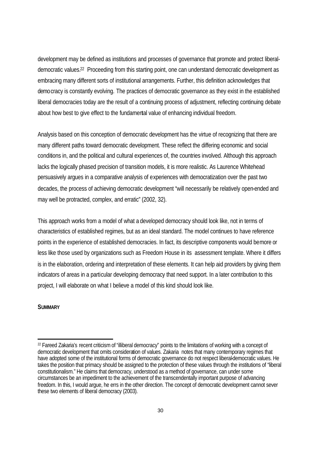development may be defined as institutions and processes of governance that promote and protect liberaldemocratic values.<sup>22</sup> Proceeding from this starting point, one can understand democratic development as embracing many different sorts of institutional arrangements. Further, this definition acknowledges that democracy is constantly evolving. The practices of democratic governance as they exist in the established liberal democracies today are the result of a continuing process of adjustment, reflecting continuing debate about how best to give effect to the fundamental value of enhancing individual freedom.

Analysis based on this conception of democratic development has the virtue of recognizing that there are many different paths toward democratic development. These reflect the differing economic and social conditions in, and the political and cultural experiences of, the countries involved. Although this approach lacks the logically phased precision of transition models, it is more realistic. As Laurence Whitehead persuasively argues in a comparative analysis of experiences with democratization over the past two decades, the process of achieving democratic development "will necessarily be relatively open-ended and may well be protracted, complex, and erratic" (2002, 32).

This approach works from a model of what a developed democracy should look like, not in terms of characteristics of established regimes, but as an ideal standard. The model continues to have reference points in the experience of established democracies. In fact, its descriptive components would be more or less like those used by organizations such as Freedom House in its assessment template. Where it differs is in the elaboration, ordering and interpretation of these elements. It can help aid providers by giving them indicators of areas in a particular developing democracy that need support. In a later contribution to this project, I will elaborate on what I believe a model of this kind should look like.

### **SUMMARY**

<sup>&</sup>lt;sup>22</sup> Fareed Zakaria's recent criticism of "illiberal democracy" points to the limitations of working with a concept of democratic development that omits consideration of values. Zakaria notes that many contemporary regimes that have adopted some of the institutional forms of democratic governance do not respect liberal-democratic values. He takes the position that primacy should be assigned to the protection of these values through the institutions of "liberal constitutionalism." He claims that democracy, understood as a method of governance, can under some circumstances be an impediment to the achievement of the transcendentally important purpose of advancing freedom. In this, I would argue, he errs in the other direction. The concept of democratic development cannot sever these two elements of liberal democracy (2003).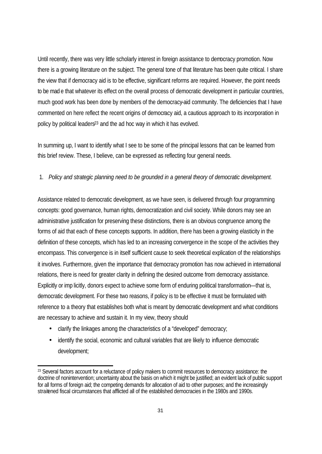Until recently, there was very little scholarly interest in foreign assistance to democracy promotion. Now there is a growing literature on the subject. The general tone of that literature has been quite critical. I share the view that if democracy aid is to be effective, significant reforms are required. However, the point needs to be mad e that whatever its effect on the overall process of democratic development in particular countries, much good work has been done by members of the democracy-aid community. The deficiencies that I have commented on here reflect the recent origins of democracy aid, a cautious approach to its incorporation in policy by political leaders<sup>23</sup> and the ad hoc way in which it has evolved.

In summing up, I want to identify what I see to be some of the principal lessons that can be learned from this brief review. These, I believe, can be expressed as reflecting four general needs.

# 1. *Policy and strategic planning need to be grounded in a general theory of democratic development.*

Assistance related to democratic development, as we have seen, is delivered through four programming concepts: good governance, human rights, democratization and civil society. While donors may see an administrative justification for preserving these distinctions, there is an obvious congruence among the forms of aid that each of these concepts supports. In addition, there has been a growing elasticity in the definition of these concepts, which has led to an increasing convergence in the scope of the activities they encompass. This convergence is in itself sufficient cause to seek theoretical explication of the relationships it involves. Furthermore, given the importance that democracy promotion has now achieved in international relations, there is need for greater clarity in defining the desired outcome from democracy assistance. Explicitly or imp licitly, donors expect to achieve some form of enduring political transformation—that is, democratic development. For these two reasons, if policy is to be effective it must be formulated with reference to a theory that establishes both what is meant by democratic development and what conditions are necessary to achieve and sustain it. In my view, theory should

- clarify the linkages among the characteristics of a "developed" democracy;
- identify the social, economic and cultural variables that are likely to influence democratic development;

l <sup>23</sup> Several factors account for a reluctance of policy makers to commit resources to democracy assistance: the doctrine of nonintervention; uncertainty about the basis on which it might be justified; an evident lack of public support for all forms of foreign aid; the competing demands for allocation of aid to other purposes; and the increasingly straitened fiscal circumstances that afflicted all of the established democracies in the 1980s and 1990s.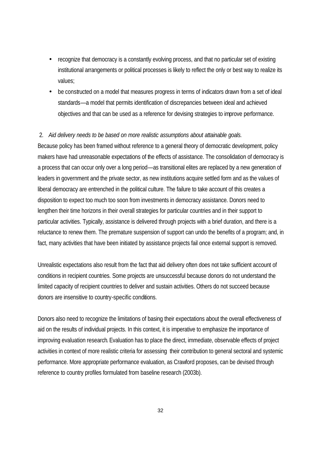- recognize that democracy is a constantly evolving process, and that no particular set of existing institutional arrangements or political processes is likely to reflect the only or best way to realize its values;
- be constructed on a model that measures progress in terms of indicators drawn from a set of ideal standards—a model that permits identification of discrepancies between ideal and achieved objectives and that can be used as a reference for devising strategies to improve performance.

# 2. *Aid delivery needs to be based on more realistic assumptions about attainable goals.*

Because policy has been framed without reference to a general theory of democratic development, policy makers have had unreasonable expectations of the effects of assistance. The consolidation of democracy is a process that can occur only over a long period—as transitional elites are replaced by a new generation of leaders in government and the private sector, as new institutions acquire settled form and as the values of liberal democracy are entrenched in the political culture. The failure to take account of this creates a disposition to expect too much too soon from investments in democracy assistance. Donors need to lengthen their time horizons in their overall strategies for particular countries and in their support to particular activities. Typically, assistance is delivered through projects with a brief duration, and there is a reluctance to renew them. The premature suspension of support can undo the benefits of a program; and, in fact, many activities that have been initiated by assistance projects fail once external support is removed.

Unrealistic expectations also result from the fact that aid delivery often does not take sufficient account of conditions in recipient countries. Some projects are unsuccessful because donors do not understand the limited capacity of recipient countries to deliver and sustain activities. Others do not succeed because donors are insensitive to country-specific conditions.

Donors also need to recognize the limitations of basing their expectations about the overall effectiveness of aid on the results of individual projects. In this context, it is imperative to emphasize the importance of improving evaluation research. Evaluation has to place the direct, immediate, observable effects of project activities in context of more realistic criteria for assessing their contribution to general sectoral and systemic performance. More appropriate performance evaluation, as Crawford proposes, can be devised through reference to country profiles formulated from baseline research (2003b).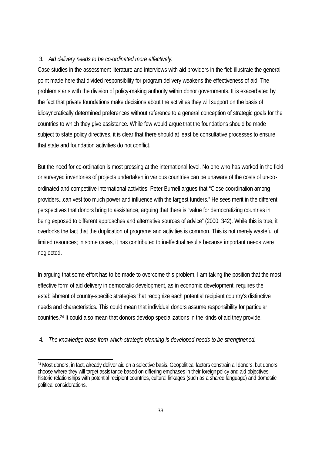# 3. *Aid delivery needs to be co-ordinated more effectively.*

Case studies in the assessment literature and interviews with aid providers in the field illustrate the general point made here that divided responsibility for program delivery weakens the effectiveness of aid. The problem starts with the division of policy-making authority within donor governments. It is exacerbated by the fact that private foundations make decisions about the activities they will support on the basis of idiosyncratically determined preferences without reference to a general conception of strategic goals for the countries to which they give assistance. While few would argue that the foundations should be made subject to state policy directives, it is clear that there should at least be consultative processes to ensure that state and foundation activities do not conflict.

But the need for co-ordination is most pressing at the international level. No one who has worked in the field or surveyed inventories of projects undertaken in various countries can be unaware of the costs of un-coordinated and competitive international activities. Peter Burnell argues that "Close coordination among providers...can vest too much power and influence with the largest funders." He sees merit in the different perspectives that donors bring to assistance, arguing that there is "value for democratizing countries in being exposed to different approaches and alternative sources of advice" (2000, 342). While this is true, it overlooks the fact that the duplication of programs and activities is common. This is not merely wasteful of limited resources; in some cases, it has contributed to ineffectual results because important needs were neglected.

In arguing that some effort has to be made to overcome this problem, I am taking the position that the most effective form of aid delivery in democratic development, as in economic development, requires the establishment of country-specific strategies that recognize each potential recipient country's distinctive needs and characteristics. This could mean that individual donors assume responsibility for particular countries.<sup>24</sup> It could also mean that donors develop specializations in the kinds of aid they provide.

4. *The knowledge base from which strategic planning is developed needs to be strengthened.*

l <sup>24</sup> Most donors, in fact, already deliver aid on a selective basis. Geopolitical factors constrain all donors, but donors choose where they will target assis tance based on differing emphases in their foreign-policy and aid objectives, historic relationships with potential recipient countries, cultural linkages (such as a shared language) and domestic political considerations.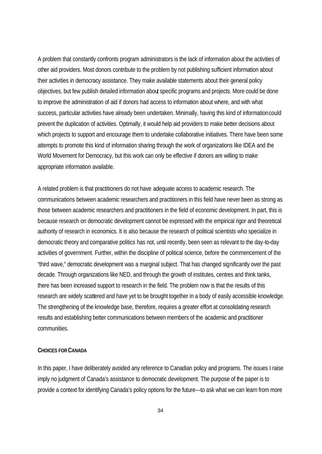A problem that constantly confronts program administrators is the lack of information about the activities of other aid providers. Most donors contribute to the problem by not publishing sufficient information about their activities in democracy assistance. They make available statements about their general policy objectives, but few publish detailed information about specific programs and projects. More could be done to improve the administration of aid if donors had access to information about where, and with what success, particular activities have already been undertaken. Minimally, having this kind of information could prevent the duplication of activities. Optimally, it would help aid providers to make better decisions about which projects to support and encourage them to undertake collaborative initiatives. There have been some attempts to promote this kind of information sharing through the work of organizations like IDEA and the World Movement for Democracy, but this work can only be effective if donors are willing to make appropriate information available.

A related problem is that practitioners do not have adequate access to academic research. The communications between academic researchers and practitioners in this field have never been as strong as those between academic researchers and practitioners in the field of economic development. In part, this is because research on democratic development cannot be expressed with the empirical rigor and theoretical authority of research in economics. It is also because the research of political scientists who specialize in democratic theory and comparative politics has not, until recently, been seen as relevant to the day-to-day activities of government. Further, within the discipline of political science, before the commencement of the "third wave," democratic development was a marginal subject. That has changed significantly over the past decade. Through organizations like NED, and through the growth of institutes, centres and think tanks, there has been increased support to research in the field. The problem now is that the results of this research are widely scattered and have yet to be brought together in a body of easily accessible knowledge. The strengthening of the knowledge base, therefore, requires a greater effort at consolidating research results and establishing better communications between members of the academic and practitioner communities.

### **CHOICES FOR CANADA**

In this paper, I have deliberately avoided any reference to Canadian policy and programs. The issues I raise imply no judgment of Canada's assistance to democratic development. The purpose of the paper is to provide a context for identifying Canada's policy options for the future—to ask what we can learn from more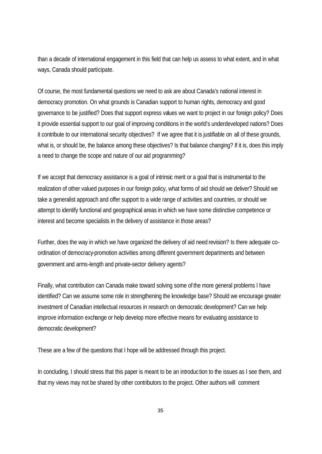than a decade of international engagement in this field that can help us assess to what extent, and in what ways, Canada should participate.

Of course, the most fundamental questions we need to ask are about Canada's national interest in democracy promotion. On what grounds is Canadian support to human rights, democracy and good governance to be justified? Does that support express values we want to project in our foreign policy? Does it provide essential support to our goal of improving conditions in the world's underdeveloped nations? Does it contribute to our international security objectives? If we agree that it is justifiable on all of these grounds, what is, or should be, the balance among these objectives? Is that balance changing? If it is, does this imply a need to change the scope and nature of our aid programming?

If we accept that democracy assistance is a goal of intrinsic merit or a goal that is instrumental to the realization of other valued purposes in our foreign policy, what forms of aid should we deliver? Should we take a generalist approach and offer support to a wide range of activities and countries, or should we attempt to identify functional and geographical areas in which we have some distinctive competence or interest and become specialists in the delivery of assistance in those areas?

Further, does the way in which we have organized the delivery of aid need revision? Is there adequate coordination of democracy-promotion activities among different government departments and between government and arms-length and private-sector delivery agents?

Finally, what contribution can Canada make toward solving some of the more general problems I have identified? Can we assume some role in strengthening the knowledge base? Should we encourage greater investment of Canadian intellectual resources in research on democratic development? Can we help improve information exchange or help develop more effective means for evaluating assistance to democratic development?

These are a few of the questions that I hope will be addressed through this project.

In concluding, I should stress that this paper is meant to be an introduc tion to the issues as I see them, and that my views may not be shared by other contributors to the project. Other authors will comment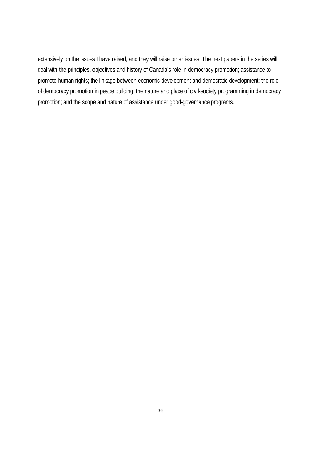extensively on the issues I have raised, and they will raise other issues. The next papers in the series will deal with the principles, objectives and history of Canada's role in democracy promotion; assistance to promote human rights; the linkage between economic development and democratic development; the role of democracy promotion in peace building; the nature and place of civil-society programming in democracy promotion; and the scope and nature of assistance under good-governance programs.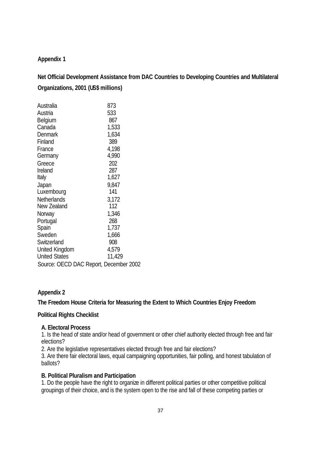# **Appendix 1**

**Net Official Development Assistance from DAC Countries to Developing Countries and Multilateral Organizations, 2001 (US\$ millions)**

| Australia            | 873                                    |
|----------------------|----------------------------------------|
| Austria              | 533                                    |
| Belgium              | 867                                    |
| Canada               | 1,533                                  |
| Denmark              | 1,634                                  |
| Finland              | 389                                    |
| France               | 4,198                                  |
| Germany              | 4,990                                  |
| Greece               | 202                                    |
| Ireland              | 287                                    |
| Italy                | 1,627                                  |
| Japan                | 9,847                                  |
| Luxembourg           | 141                                    |
| Netherlands          | 3,172                                  |
| New Zealand          | 112                                    |
| Norway               | 1,346                                  |
| Portugal             | 268                                    |
| Spain                | 1,737                                  |
| Sweden               | 1,666                                  |
| Switzerland          | 908                                    |
| United Kingdom       | 4,579                                  |
| <b>United States</b> | 11,429                                 |
|                      | Source: OECD DAC Report, December 2002 |

# **Appendix 2**

# **The Freedom House Criteria for Measuring the Extent to Which Countries Enjoy Freedom**

# **Political Rights Checklist**

### **A. Electoral Process**

1. Is the head of state and/or head of government or other chief authority elected through free and fair elections?

2. Are the legislative representatives elected through free and fair elections?

3. Are there fair electoral laws, equal campaigning opportunities, fair polling, and honest tabulation of ballots?

### **B. Political Pluralism and Participation**

1. Do the people have the right to organize in different political parties or other competitive political groupings of their choice, and is the system open to the rise and fall of these competing parties or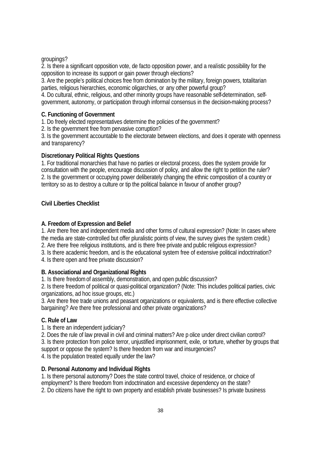groupings?

2. Is there a significant opposition vote, de facto opposition power, and a realistic possibility for the opposition to increase its support or gain power through elections?

3. Are the people's political choices free from domination by the military, foreign powers, totalitarian parties, religious hierarchies, economic oligarchies, or any other powerful group?

4. Do cultural, ethnic, religious, and other minority groups have reasonable self-determination, selfgovernment, autonomy, or participation through informal consensus in the decision-making process?

# **C. Functioning of Government**

1. Do freely elected representatives determine the policies of the government?

2. Is the government free from pervasive corruption?

3. Is the government accountable to the electorate between elections, and does it operate with openness and transparency?

# **Discretionary Political Rights Questions**

1. For traditional monarchies that have no parties or electoral process, does the system provide for consultation with the people, encourage discussion of policy, and allow the right to petition the ruler? 2. Is the government or occupying power deliberately changing the ethnic composition of a country or territory so as to destroy a culture or tip the political balance in favour of another group?

# **Civil Liberties Checklist**

# **A. Freedom of Expression and Belief**

1. Are there free and independent media and other forms of cultural expression? (Note: In cases where the media are state-controlled but offer pluralistic points of view, the survey gives the system credit.)

2. Are there free religious institutions, and is there free private and public religious expression?

3. Is there academic freedom, and is the educational system free of extensive political indoctrination?

4. Is there open and free private discussion?

# **B. Associational and Organizational Rights**

1. Is there freedom of assembly, demonstration, and open public discussion?

2. Is there freedom of political or quasi-political organization? (Note: This includes political parties, civic organizations, ad hoc issue groups, etc.)

3. Are there free trade unions and peasant organizations or equivalents, and is there effective collective bargaining? Are there free professional and other private organizations?

# **C. Rule of Law**

1. Is there an independent judiciary?

2. Does the rule of law prevail in civil and criminal matters? Are p olice under direct civilian control?

3. Is there protection from police terror, unjustified imprisonment, exile, or torture, whether by groups that

support or oppose the system? Is there freedom from war and insurgencies?

4. Is the population treated equally under the law?

# **D. Personal Autonomy and Individual Rights**

1. Is there personal autonomy? Does the state control travel, choice of residence, or choice of employment? Is there freedom from indoctrination and excessive dependency on the state? 2. Do citizens have the right to own property and establish private businesses? Is private business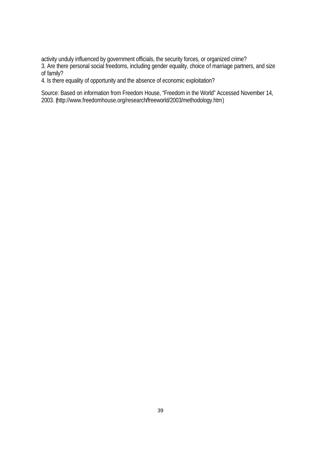activity unduly influenced by government officials, the security forces, or organized crime? 3. Are there personal social freedoms, including gender equality, choice of marriage partners, and size of family?

4. Is there equality of opportunity and the absence of economic exploitation?

Source: Based on information from Freedom House, "Freedom in the World" Accessed November 14, 2003. (http://www.freedomhouse.org/research/freeworld/2003/methodology.htm)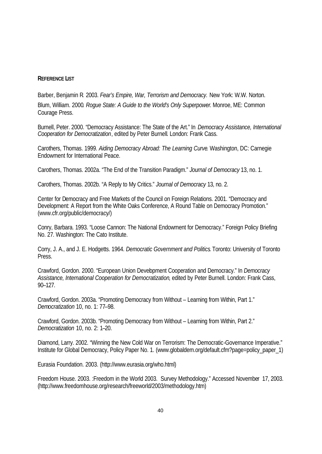### **REFERENCE LIST**

Barber, Benjamin R*.* 2003. *Fear's Empire, War, Terrorism and Democracy.* New York: W.W. Norton. Blum, William. 2000*. Rogue State: A Guide to the World's Only Superpower*. Monroe, ME: Common Courage Press.

Burnell, Peter. 2000. "Democracy Assistance: The State of the Art." In *Democracy Assistance, International Cooperation for Democratization*, edited by Peter Burnell*.* London: Frank Cass.

Carothers, Thomas. 1999. *Aiding Democracy Abroad: The Learning Curve*. Washington, DC: Carnegie Endowment for International Peace.

Carothers, Thomas. 2002a. "The End of the Transition Paradigm." *Journal of Democracy* 13, no. 1.

Carothers, Thomas. 2002b. "A Reply to My Critics." *Journal of Democracy* 13, no. 2.

Center for Democracy and Free Markets of the Council on Foreign Relations. 2001. "Democracy and Development: A Report from the White Oaks Conference, A Round Table on Democracy Promotion." (www.cfr.org/public/democracy/)

Conry, Barbara. 1993. "Loose Cannon: The National Endowment for Democracy." Foreign Policy Briefing No. 27*.* Washington: The Cato Institute.

Corry, J. A., and J. E. Hodgetts. 1964. *Democratic Government and Politics*. Toronto: University of Toronto Press.

Crawford, Gordon. 2000. "European Union Development Cooperation and Democracy." In *Democracy Assistance, International Cooperation for Democratization*, edited by Peter Burnell. London: Frank Cass, 90–127.

Crawford, Gordon. 2003a. "Promoting Democracy from Without – Learning from Within, Part 1." *Democratization* 10, no. 1: 77–98.

Crawford, Gordon. 2003b. "Promoting Democracy from Without – Learning from Within, Part 2." *Democratization* 10, no. 2: 1–20.

Diamond, Larry. 2002. "Winning the New Cold War on Terrorism: The Democratic-Governance Imperative." Institute for Global Democracy, Policy Paper No. 1. (www.globaldem.org/default.cfm?page=policy\_paper\_1)

Eurasia Foundation. 2003. (http://www.eurasia.org/who.html)

Freedom House. 2003. :Freedom in the World 2003. Survey Methodology." Accessed November 17, 2003. (http://www.freedomhouse.org/research/freeworld/2003/methodology.htm)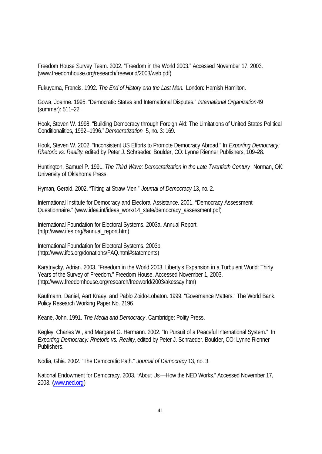Freedom House Survey Team. 2002. "Freedom in the World 2003." Accessed November 17, 2003. (www.freedomhouse.org/research/freeworld/2003/web.pdf)

Fukuyama, Francis. 1992. *The End of History and the Last Man.* London: Hamish Hamilton.

Gowa, Joanne. 1995. "Democratic States and International Disputes." *International Organization* 49 (summer): 511–22.

Hook, Steven W. 1998. "Building Democracy through Foreign Aid: The Limitations of United States Political Conditionalities, 1992–1996." *Democratization* 5, no. 3: 169.

Hook, Steven W. 2002. "Inconsistent US Efforts to Promote Democracy Abroad." In *Exporting Democracy: Rhetoric vs. Reality*, edited by Peter J. Schraeder*.* Boulder, CO: Lynne Rienner Publishers, 109–28.

Huntington, Samuel P. 1991. *The Third Wave: Democratization in the Late Twentieth Century*. Norman, OK: University of Oklahoma Press.

Hyman, Gerald. 2002. "Tilting at Straw Men." *Journal of Democracy* 13, no. 2.

International Institute for Democracy and Electoral Assistance. 2001. "Democracy Assessment Questionnaire." (www.idea.int/ideas\_work/14\_state/democracy\_assessment.pdf)

International Foundation for Electoral Systems. 2003a. Annual Report. (http://www.ifes.org///annual\_report.htm)

International Foundation for Electoral Systems. 2003b. (http://www.ifes.org/donations/FAQ.html#statements)

Karatnycky, Adrian. 2003. "Freedom in the World 2003. Liberty's Expansion in a Turbulent World: Thirty Years of the Survey of Freedom." Freedom House. Accessed November 1, 2003. (http://www.freedomhouse.org/research/freeworld/2003/akessay.htm)

Kaufmann, Daniel, Aart Kraay, and Pablo Zoido-Lobaton. 1999. "Governance Matters." The World Bank, Policy Research Working Paper No. 2196.

Keane, John. 1991. *The Media and Democracy*. Cambridge: Polity Press.

Kegley, Charles W., and Margaret G. Hermann. 2002. "In Pursuit of a Peaceful International System." In *Exporting Democracy: Rhetoric vs. Reality*, edited by Peter J. Schraeder. Boulder, CO: Lynne Rienner **Publishers** 

Nodia, Ghia. 2002. "The Democratic Path." *Journal of Democracy* 13, no. 3.

National Endowment for Democracy. 2003. "About Us—How the NED Works." Accessed November 17, 2003. (www.ned.org)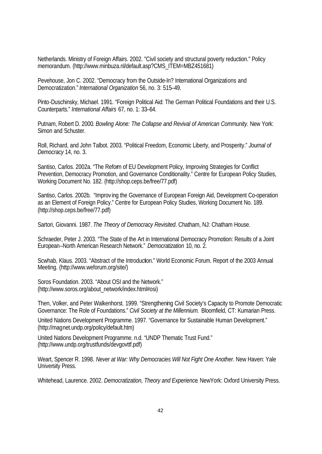Netherlands. Ministry of Foreign Affairs. 2002. "Civil society and structural poverty reduction." Policy memorandum. (http://www.minbuza.nl/default.asp?CMS\_ITEM=MBZ451681)

Pevehouse, Jon C. 2002. "Democracy from the Outside-In? International Organizations and Democratization." *International Organization* 56, no. 3: 515–49.

Pinto-Duschinsky, Michael. 1991. "Foreign Political Aid: The German Political Foundations and their U.S. Counterparts." *International Affairs* 67, no. 1: 33–64.

Putnam, Robert D. 2000*. Bowling Alone: The Collapse and Revival of American Community.* New York: Simon and Schuster.

Roll, Richard, and John Talbot. 2003. "Political Freedom, Economic Liberty, and Prosperity." *Journal of Democracy* 14, no. 3.

Santiso, Carlos. 2002a. "The Reform of EU Development Policy, Improving Strategies for Conflict Prevention, Democracy Promotion, and Governance Conditionality." Centre for European Policy Studies, Working Document No. 182. (http://shop.ceps.be/free/77.pdf)

Santiso, Carlos. 2002b. "Improv ing the Governance of European Foreign Aid, Development Co-operation as an Element of Foreign Policy." Centre for European Policy Studies, Working Document No. 189. (http://shop.ceps.be/free/77.pdf)

Sartori, Giovanni. 1987. *The Theory of Democracy Revisited*. Chatham, NJ: Chatham House.

Schraeder, Peter J. 2003. "The State of the Art in International Democracy Promotion: Results of a Joint European–North American Research Network." *Democratization* 10, no. 2.

Scwhab, Klaus. 2003. "Abstract of the Introduction." World Economic Forum. Report of the 2003 Annual Meeting. (http://www.weforum.org/site/)

Soros Foundation. 2003. "About OSI and the Network." (http://www.soros.org/about\_network/index.html#osi)

Then, Volker, and Peter Walkenhorst. 1999. "Strengthening Civil Society's Capacity to Promote Democratic Governance: The Role of Foundations." *Civil Society at the Millennium.* Bloomfield, CT: Kumarian Press.

United Nations Development Programme. 1997. "Governance for Sustainable Human Development." (http://magnet.undp.org/policy/default.htm)

United Nations Development Programme. n.d. "UNDP Thematic Trust Fund." (http://www.undp.org/trustfunds/devgovttf.pdf)

Weart, Spencer R. 1998. *Never at War: Why Democracies Will Not Fight One Another*. New Haven: Yale University Press.

Whitehead, Laurence. 2002. *Democratization, Theory and Experience*. NewYork: Oxford University Press.